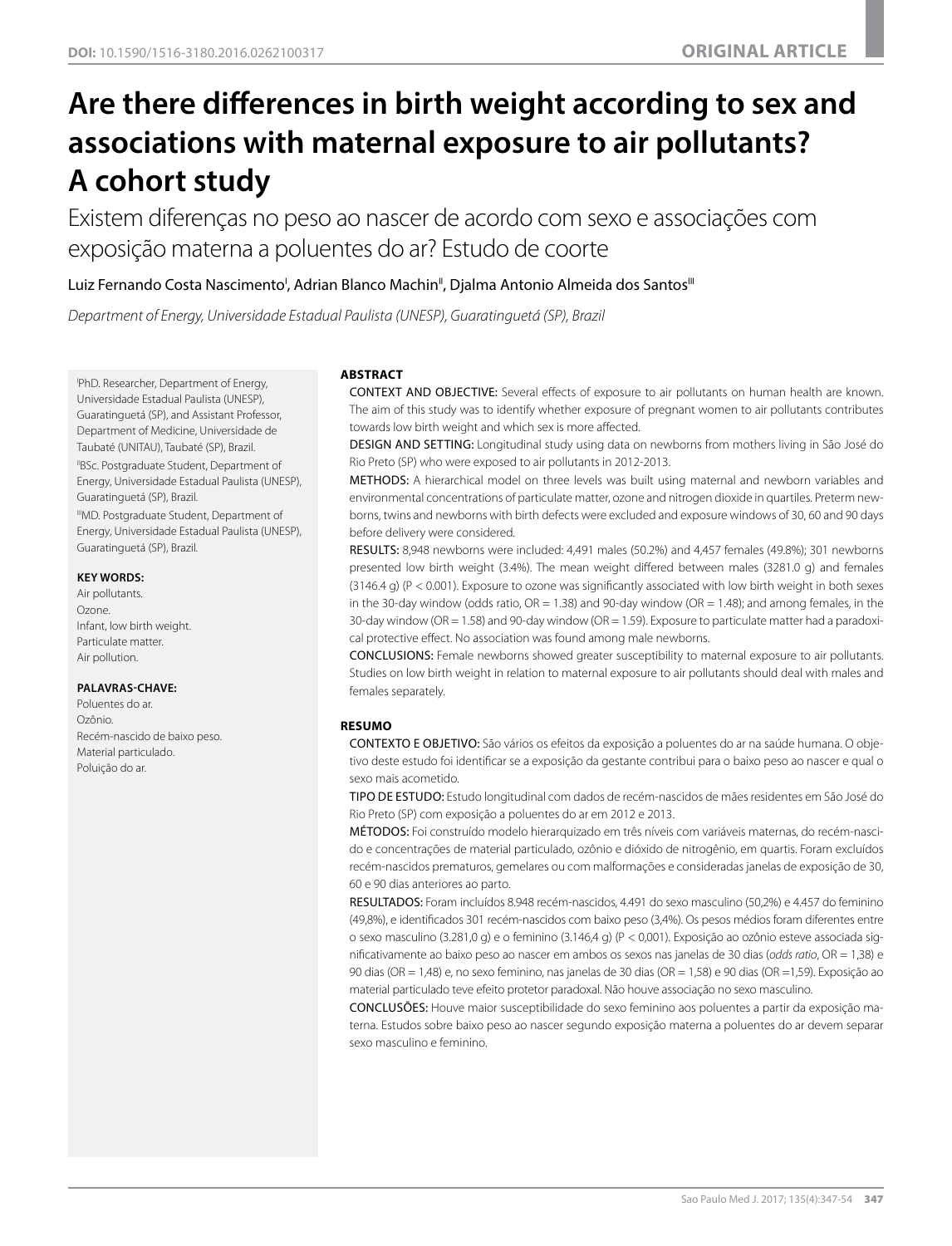# **Are there differences in birth weight according to sex and associations with maternal exposure to air pollutants? A cohort study**

Existem diferenças no peso ao nascer de acordo com sexo e associações com exposição materna a poluentes do ar? Estudo de coorte

# Luiz Fernando Costa Nascimento<sup>i</sup>, Adrian Blanco Machin", Djalma Antonio Almeida dos Santos'''

*Department of Energy, Universidade Estadual Paulista (UNESP), Guaratinguetá (SP), Brazil*

I PhD. Researcher, Department of Energy, Universidade Estadual Paulista (UNESP), Guaratinguetá (SP), and Assistant Professor, Department of Medicine, Universidade de Taubaté (UNITAU), Taubaté (SP), Brazil. "BSc. Postgraduate Student, Department of Energy, Universidade Estadual Paulista (UNESP), Guaratinguetá (SP), Brazil. IIIMD. Postgraduate Student, Department of

Energy, Universidade Estadual Paulista (UNESP), Guaratinguetá (SP), Brazil.

#### **KEY WORDS:**

Air pollutants. Ozone. Infant, low birth weight. Particulate matter. Air pollution.

#### **PALAVRAS-CHAVE:**

Poluentes do ar. Ozônio. Recém-nascido de baixo peso. Material particulado. Poluição do ar.

#### **ABSTRACT**

CONTEXT AND OBJECTIVE: Several effects of exposure to air pollutants on human health are known. The aim of this study was to identify whether exposure of pregnant women to air pollutants contributes towards low birth weight and which sex is more affected.

DESIGN AND SETTING: Longitudinal study using data on newborns from mothers living in São José do Rio Preto (SP) who were exposed to air pollutants in 2012-2013.

METHODS: A hierarchical model on three levels was built using maternal and newborn variables and environmental concentrations of particulate matter, ozone and nitrogen dioxide in quartiles. Preterm newborns, twins and newborns with birth defects were excluded and exposure windows of 30, 60 and 90 days before delivery were considered.

RESULTS: 8,948 newborns were included: 4,491 males (50.2%) and 4,457 females (49.8%); 301 newborns presented low birth weight (3.4%). The mean weight differed between males (3281.0 g) and females (3146.4 g) (P < 0.001). Exposure to ozone was significantly associated with low birth weight in both sexes in the 30-day window (odds ratio,  $OR = 1.38$ ) and 90-day window ( $OR = 1.48$ ); and among females, in the 30-day window (OR = 1.58) and 90-day window (OR = 1.59). Exposure to particulate matter had a paradoxical protective effect. No association was found among male newborns.

CONCLUSIONS: Female newborns showed greater susceptibility to maternal exposure to air pollutants. Studies on low birth weight in relation to maternal exposure to air pollutants should deal with males and females separately.

#### **RESUMO**

CONTEXTO E OBJETIVO: São vários os efeitos da exposição a poluentes do ar na saúde humana. O objetivo deste estudo foi identificar se a exposição da gestante contribui para o baixo peso ao nascer e qual o sexo mais acometido.

TIPO DE ESTUDO: Estudo longitudinal com dados de recém-nascidos de mães residentes em São José do Rio Preto (SP) com exposição a poluentes do ar em 2012 e 2013.

MÉTODOS: Foi construído modelo hierarquizado em três níveis com variáveis maternas, do recém-nascido e concentrações de material particulado, ozônio e dióxido de nitrogênio, em quartis. Foram excluídos recém-nascidos prematuros, gemelares ou com malformações e consideradas janelas de exposição de 30, 60 e 90 dias anteriores ao parto.

RESULTADOS: Foram incluídos 8.948 recém-nascidos, 4.491 do sexo masculino (50,2%) e 4.457 do feminino (49,8%), e identificados 301 recém-nascidos com baixo peso (3,4%). Os pesos médios foram diferentes entre o sexo masculino (3.281,0 g) e o feminino (3.146,4 g) (P < 0,001). Exposição ao ozônio esteve associada significativamente ao baixo peso ao nascer em ambos os sexos nas janelas de 30 dias (*odds ratio*, OR = 1,38) e 90 dias (OR = 1,48) e, no sexo feminino, nas janelas de 30 dias (OR = 1,58) e 90 dias (OR =1,59). Exposição ao material particulado teve efeito protetor paradoxal. Não houve associação no sexo masculino.

CONCLUSÕES: Houve maior susceptibilidade do sexo feminino aos poluentes a partir da exposição materna. Estudos sobre baixo peso ao nascer segundo exposição materna a poluentes do ar devem separar sexo masculino e feminino.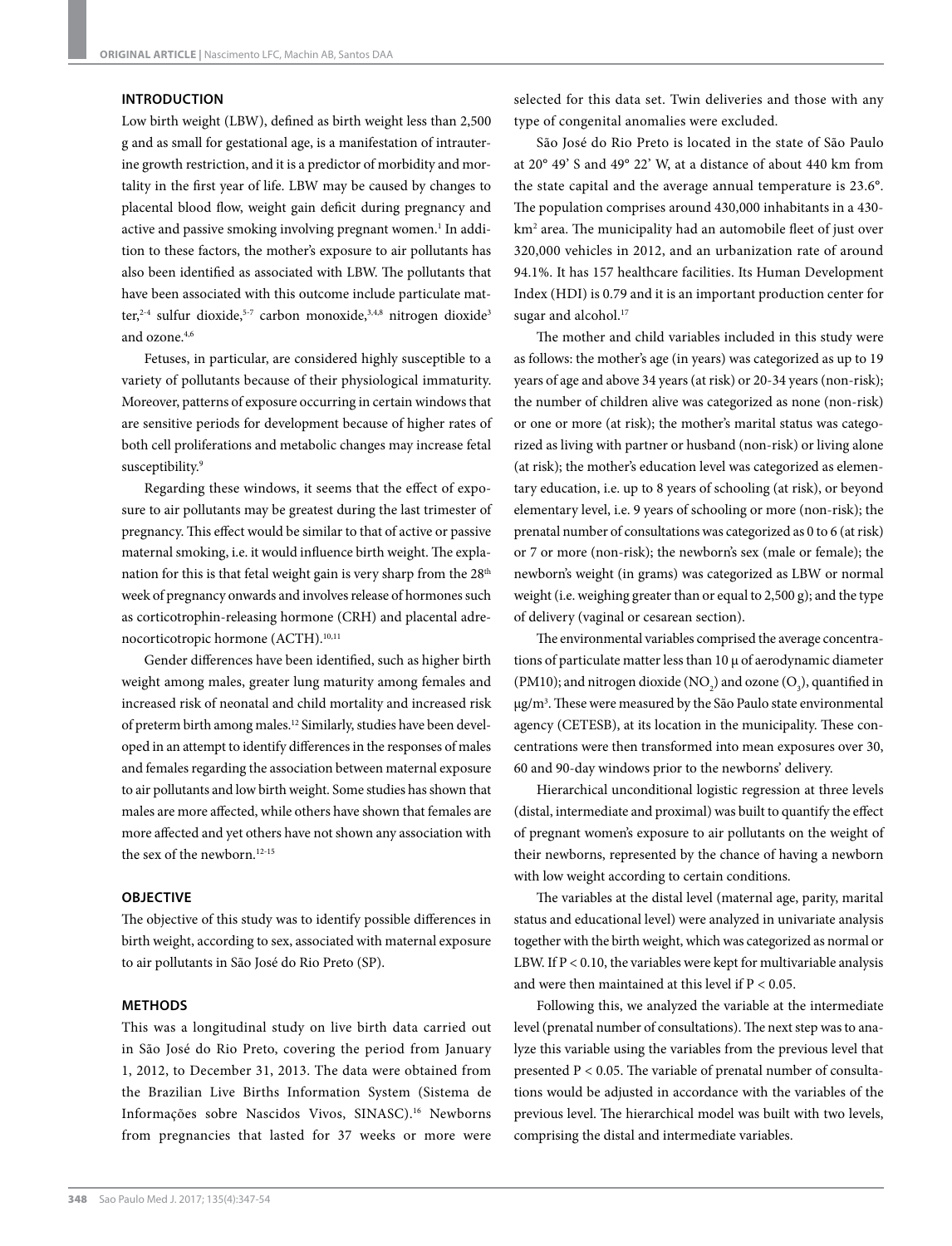#### **INTRODUCTION**

Low birth weight (LBW), defined as birth weight less than 2,500 g and as small for gestational age, is a manifestation of intrauterine growth restriction, and it is a predictor of morbidity and mortality in the first year of life. LBW may be caused by changes to placental blood flow, weight gain deficit during pregnancy and active and passive smoking involving pregnant women.<sup>1</sup> In addition to these factors, the mother's exposure to air pollutants has also been identified as associated with LBW. The pollutants that have been associated with this outcome include particulate matter,<sup>2-4</sup> sulfur dioxide,<sup>5-7</sup> carbon monoxide,<sup>3,4,8</sup> nitrogen dioxide<sup>3</sup> and ozone.4,6

Fetuses, in particular, are considered highly susceptible to a variety of pollutants because of their physiological immaturity. Moreover, patterns of exposure occurring in certain windows that are sensitive periods for development because of higher rates of both cell proliferations and metabolic changes may increase fetal susceptibility.<sup>9</sup>

Regarding these windows, it seems that the effect of exposure to air pollutants may be greatest during the last trimester of pregnancy. This effect would be similar to that of active or passive maternal smoking, i.e. it would influence birth weight. The explanation for this is that fetal weight gain is very sharp from the 28<sup>th</sup> week of pregnancy onwards and involves release of hormones such as corticotrophin-releasing hormone (CRH) and placental adrenocorticotropic hormone (ACTH).<sup>10,11</sup>

Gender differences have been identified, such as higher birth weight among males, greater lung maturity among females and increased risk of neonatal and child mortality and increased risk of preterm birth among males.12 Similarly, studies have been developed in an attempt to identify differences in the responses of males and females regarding the association between maternal exposure to air pollutants and low birth weight. Some studies has shown that males are more affected, while others have shown that females are more affected and yet others have not shown any association with the sex of the newborn.<sup>12-15</sup>

#### **OBJECTIVE**

The objective of this study was to identify possible differences in birth weight, according to sex, associated with maternal exposure to air pollutants in São José do Rio Preto (SP).

#### **METHODS**

This was a longitudinal study on live birth data carried out in São José do Rio Preto, covering the period from January 1, 2012, to December 31, 2013. The data were obtained from the Brazilian Live Births Information System (Sistema de Informações sobre Nascidos Vivos, SINASC).16 Newborns from pregnancies that lasted for 37 weeks or more were selected for this data set. Twin deliveries and those with any type of congenital anomalies were excluded.

São José do Rio Preto is located in the state of São Paulo at 20° 49' S and 49° 22' W, at a distance of about 440 km from the state capital and the average annual temperature is 23.6°. The population comprises around 430,000 inhabitants in a 430 km2 area. The municipality had an automobile fleet of just over 320,000 vehicles in 2012, and an urbanization rate of around 94.1%. It has 157 healthcare facilities. Its Human Development Index (HDI) is 0.79 and it is an important production center for sugar and alcohol.<sup>17</sup>

The mother and child variables included in this study were as follows: the mother's age (in years) was categorized as up to 19 years of age and above 34 years (at risk) or 20-34 years (non-risk); the number of children alive was categorized as none (non-risk) or one or more (at risk); the mother's marital status was categorized as living with partner or husband (non-risk) or living alone (at risk); the mother's education level was categorized as elementary education, i.e. up to 8 years of schooling (at risk), or beyond elementary level, i.e. 9 years of schooling or more (non-risk); the prenatal number of consultations was categorized as 0 to 6 (at risk) or 7 or more (non-risk); the newborn's sex (male or female); the newborn's weight (in grams) was categorized as LBW or normal weight (i.e. weighing greater than or equal to 2,500 g); and the type of delivery (vaginal or cesarean section).

The environmental variables comprised the average concentrations of particulate matter less than 10 μ of aerodynamic diameter (PM10); and nitrogen dioxide (NO<sub>2</sub>) and ozone (O<sub>3</sub>), quantified in μg/m3 . These were measured by the São Paulo state environmental agency (CETESB), at its location in the municipality. These concentrations were then transformed into mean exposures over 30, 60 and 90-day windows prior to the newborns' delivery.

Hierarchical unconditional logistic regression at three levels (distal, intermediate and proximal) was built to quantify the effect of pregnant women's exposure to air pollutants on the weight of their newborns, represented by the chance of having a newborn with low weight according to certain conditions.

The variables at the distal level (maternal age, parity, marital status and educational level) were analyzed in univariate analysis together with the birth weight, which was categorized as normal or LBW. If  $P < 0.10$ , the variables were kept for multivariable analysis and were then maintained at this level if P < 0.05.

Following this, we analyzed the variable at the intermediate level (prenatal number of consultations). The next step was to analyze this variable using the variables from the previous level that presented P < 0.05. The variable of prenatal number of consultations would be adjusted in accordance with the variables of the previous level. The hierarchical model was built with two levels, comprising the distal and intermediate variables.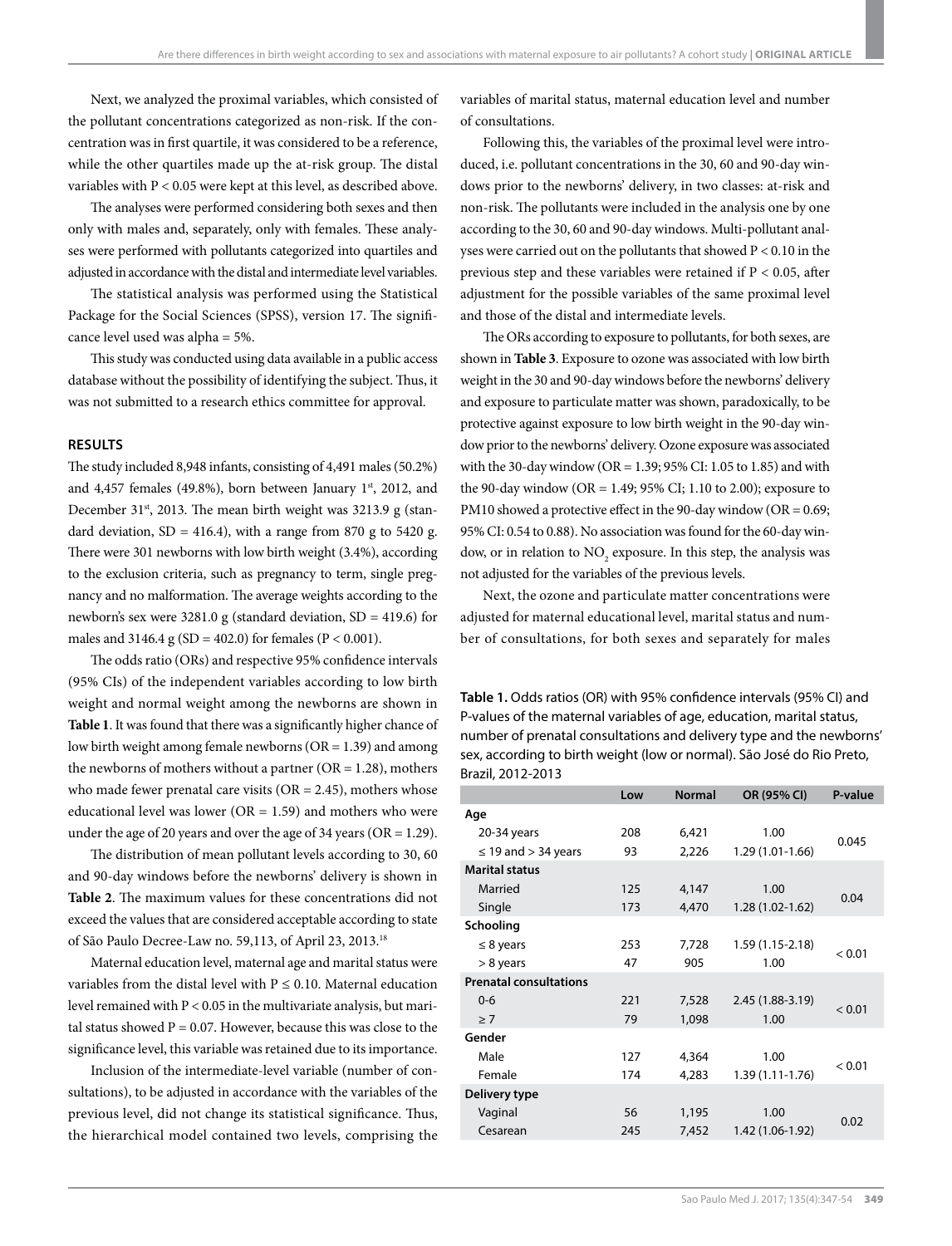Next, we analyzed the proximal variables, which consisted of the pollutant concentrations categorized as non-risk. If the concentration was in first quartile, it was considered to be a reference, while the other quartiles made up the at-risk group. The distal variables with P < 0.05 were kept at this level, as described above.

The analyses were performed considering both sexes and then only with males and, separately, only with females. These analyses were performed with pollutants categorized into quartiles and adjusted in accordance with the distal and intermediate level variables.

The statistical analysis was performed using the Statistical Package for the Social Sciences (SPSS), version 17. The significance level used was alpha = 5%.

This study was conducted using data available in a public access database without the possibility of identifying the subject. Thus, it was not submitted to a research ethics committee for approval.

#### **RESULTS**

The study included 8,948 infants, consisting of 4,491 males (50.2%) and 4,457 females (49.8%), born between January  $1<sup>st</sup>$ , 2012, and December 31 $^{\text{st}}$ , 2013. The mean birth weight was 3213.9 g (standard deviation,  $SD = 416.4$ , with a range from 870 g to 5420 g. There were 301 newborns with low birth weight (3.4%), according to the exclusion criteria, such as pregnancy to term, single pregnancy and no malformation. The average weights according to the newborn's sex were 3281.0 g (standard deviation,  $SD = 419.6$ ) for males and 3146.4 g (SD = 402.0) for females (P < 0.001).

The odds ratio (ORs) and respective 95% confidence intervals (95% CIs) of the independent variables according to low birth weight and normal weight among the newborns are shown in **Table 1**. It was found that there was a significantly higher chance of low birth weight among female newborns (OR = 1.39) and among the newborns of mothers without a partner ( $OR = 1.28$ ), mothers who made fewer prenatal care visits  $(OR = 2.45)$ , mothers whose educational level was lower ( $OR = 1.59$ ) and mothers who were under the age of 20 years and over the age of 34 years ( $OR = 1.29$ ).

The distribution of mean pollutant levels according to 30, 60 and 90-day windows before the newborns' delivery is shown in **Table 2**. The maximum values for these concentrations did not exceed the values that are considered acceptable according to state of São Paulo Decree-Law no. 59,113, of April 23, 2013.18

Maternal education level, maternal age and marital status were variables from the distal level with  $P \le 0.10$ . Maternal education level remained with P < 0.05 in the multivariate analysis, but marital status showed  $P = 0.07$ . However, because this was close to the significance level, this variable was retained due to its importance.

Inclusion of the intermediate-level variable (number of consultations), to be adjusted in accordance with the variables of the previous level, did not change its statistical significance. Thus, the hierarchical model contained two levels, comprising the

variables of marital status, maternal education level and number of consultations.

Following this, the variables of the proximal level were introduced, i.e. pollutant concentrations in the 30, 60 and 90-day windows prior to the newborns' delivery, in two classes: at-risk and non-risk. The pollutants were included in the analysis one by one according to the 30, 60 and 90-day windows. Multi-pollutant analyses were carried out on the pollutants that showed P < 0.10 in the previous step and these variables were retained if P < 0.05, after adjustment for the possible variables of the same proximal level and those of the distal and intermediate levels.

The ORs according to exposure to pollutants, for both sexes, are shown in **Table 3**. Exposure to ozone was associated with low birth weight in the 30 and 90-day windows before the newborns' delivery and exposure to particulate matter was shown, paradoxically, to be protective against exposure to low birth weight in the 90-day window prior to the newborns' delivery. Ozone exposure was associated with the 30-day window (OR = 1.39; 95% CI: 1.05 to 1.85) and with the 90-day window (OR = 1.49; 95% CI; 1.10 to 2.00); exposure to PM10 showed a protective effect in the 90-day window (OR = 0.69; 95% CI: 0.54 to 0.88). No association was found for the 60-day window, or in relation to  $NO_2$  exposure. In this step, the analysis was not adjusted for the variables of the previous levels.

Next, the ozone and particulate matter concentrations were adjusted for maternal educational level, marital status and number of consultations, for both sexes and separately for males

**Table 1.** Odds ratios (OR) with 95% confidence intervals (95% CI) and P-values of the maternal variables of age, education, marital status, number of prenatal consultations and delivery type and the newborns' sex, according to birth weight (low or normal). São José do Rio Preto, Brazil, 2012-2013

|                               | Low | <b>Normal</b> | OR (95% CI)         | P-value |
|-------------------------------|-----|---------------|---------------------|---------|
| Age                           |     |               |                     |         |
| 20-34 years                   | 208 | 6,421         | 1.00                | 0.045   |
| $\leq$ 19 and $>$ 34 years    | 93  | 2,226         | 1.29 (1.01-1.66)    |         |
| <b>Marital status</b>         |     |               |                     |         |
| Married                       | 125 | 4,147         | 1.00                | 0.04    |
| Single                        | 173 | 4,470         | $1.28(1.02 - 1.62)$ |         |
| Schooling                     |     |               |                     |         |
| $\leq 8$ years                | 253 | 7,728         | 1.59 (1.15-2.18)    | < 0.01  |
| $> 8$ years                   | 47  | 905           | 1.00                |         |
| <b>Prenatal consultations</b> |     |               |                     |         |
| $0 - 6$                       | 221 | 7,528         | 2.45 (1.88-3.19)    | < 0.01  |
| $\geq 7$                      | 79  | 1,098         | 1.00                |         |
| Gender                        |     |               |                     |         |
| Male                          | 127 | 4,364         | 1.00                | < 0.01  |
| Female                        | 174 | 4,283         | 1.39 (1.11-1.76)    |         |
| Delivery type                 |     |               |                     |         |
| Vaginal                       | 56  | 1,195         | 1.00                | 0.02    |
| Cesarean                      | 245 | 7,452         | 1.42 (1.06-1.92)    |         |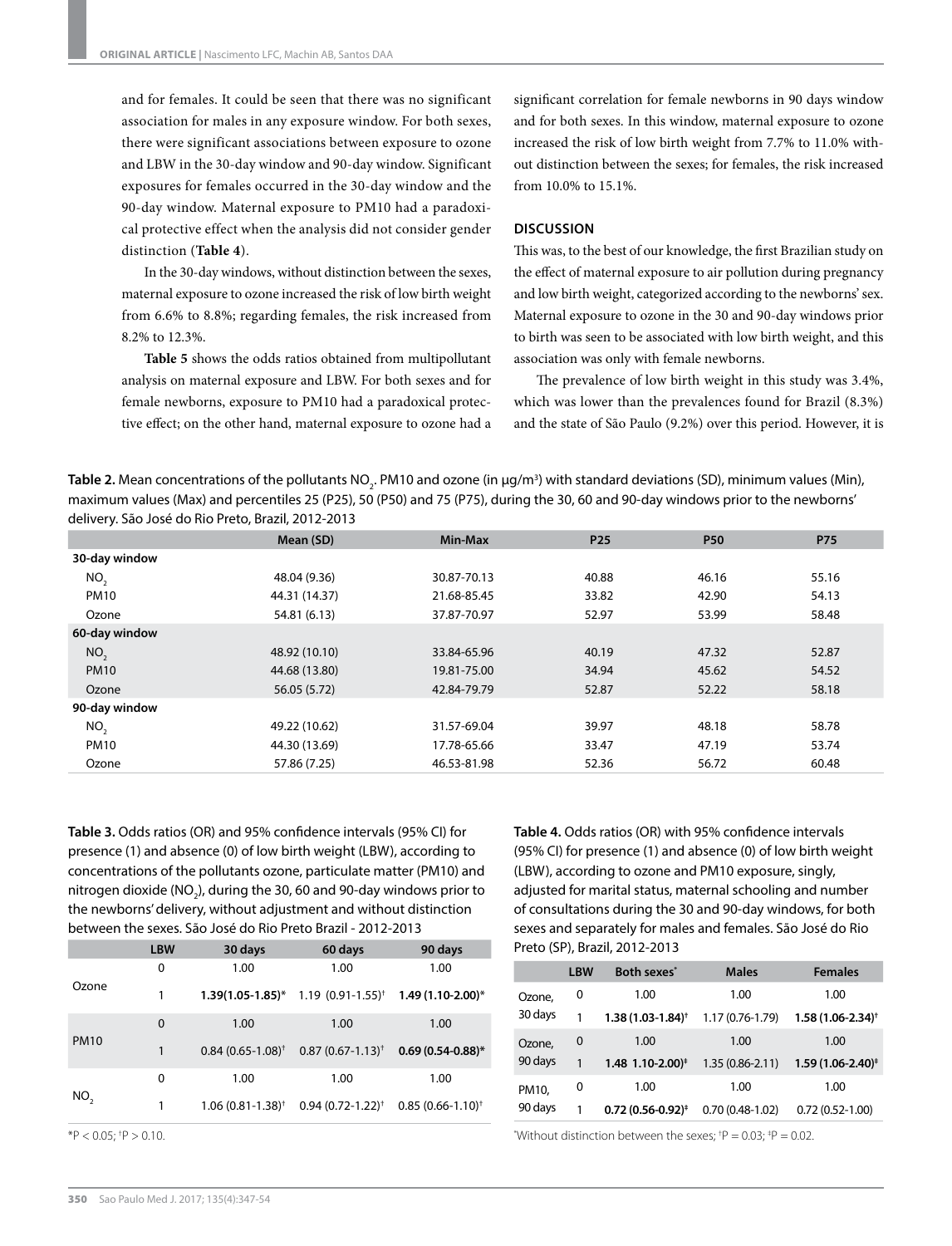and for females. It could be seen that there was no significant association for males in any exposure window. For both sexes, there were significant associations between exposure to ozone and LBW in the 30-day window and 90-day window. Significant exposures for females occurred in the 30-day window and the 90-day window. Maternal exposure to PM10 had a paradoxical protective effect when the analysis did not consider gender distinction (**Table 4**).

In the 30-day windows, without distinction between the sexes, maternal exposure to ozone increased the risk of low birth weight from 6.6% to 8.8%; regarding females, the risk increased from 8.2% to 12.3%.

**Table 5** shows the odds ratios obtained from multipollutant analysis on maternal exposure and LBW. For both sexes and for female newborns, exposure to PM10 had a paradoxical protective effect; on the other hand, maternal exposure to ozone had a

significant correlation for female newborns in 90 days window and for both sexes. In this window, maternal exposure to ozone increased the risk of low birth weight from 7.7% to 11.0% without distinction between the sexes; for females, the risk increased from 10.0% to 15.1%.

#### **DISCUSSION**

This was, to the best of our knowledge, the first Brazilian study on the effect of maternal exposure to air pollution during pregnancy and low birth weight, categorized according to the newborns' sex. Maternal exposure to ozone in the 30 and 90-day windows prior to birth was seen to be associated with low birth weight, and this association was only with female newborns.

The prevalence of low birth weight in this study was 3.4%, which was lower than the prevalences found for Brazil (8.3%) and the state of São Paulo (9.2%) over this period. However, it is

**Table 2.** Mean concentrations of the pollutants NO<sub>2</sub>. PM10 and ozone (in μg/m<sup>3</sup>) with standard deviations (SD), minimum values (Min), maximum values (Max) and percentiles 25 (P25), 50 (P50) and 75 (P75), during the 30, 60 and 90-day windows prior to the newborns' delivery. São José do Rio Preto, Brazil, 2012-2013

|                 | Mean (SD)     | Min-Max     | P <sub>25</sub> | <b>P50</b> | <b>P75</b> |
|-----------------|---------------|-------------|-----------------|------------|------------|
| 30-day window   |               |             |                 |            |            |
| NO,             | 48.04 (9.36)  | 30.87-70.13 | 40.88           | 46.16      | 55.16      |
| <b>PM10</b>     | 44.31 (14.37) | 21.68-85.45 | 33.82           | 42.90      | 54.13      |
| Ozone           | 54.81 (6.13)  | 37.87-70.97 | 52.97           | 53.99      | 58.48      |
| 60-day window   |               |             |                 |            |            |
| NO <sub>2</sub> | 48.92 (10.10) | 33.84-65.96 | 40.19           | 47.32      | 52.87      |
| <b>PM10</b>     | 44.68 (13.80) | 19.81-75.00 | 34.94           | 45.62      | 54.52      |
| Ozone           | 56.05 (5.72)  | 42.84-79.79 | 52.87           | 52.22      | 58.18      |
| 90-day window   |               |             |                 |            |            |
| NO <sub>2</sub> | 49.22 (10.62) | 31.57-69.04 | 39.97           | 48.18      | 58.78      |
| <b>PM10</b>     | 44.30 (13.69) | 17.78-65.66 | 33.47           | 47.19      | 53.74      |
| Ozone           | 57.86 (7.25)  | 46.53-81.98 | 52.36           | 56.72      | 60.48      |

**Table 3.** Odds ratios (OR) and 95% confidence intervals (95% CI) for presence (1) and absence (0) of low birth weight (LBW), according to concentrations of the pollutants ozone, particulate matter (PM10) and nitrogen dioxide (NO<sub>2</sub>), during the 30, 60 and 90-day windows prior to the newborns' delivery, without adjustment and without distinction between the sexes. São José do Rio Preto Brazil - 2012-2013

|             | <b>LBW</b> | 30 days                     | 60 days                                  | 90 days               |
|-------------|------------|-----------------------------|------------------------------------------|-----------------------|
| Ozone       | 0          | 1.00                        | 1.00                                     | 1.00                  |
|             | 1          |                             | $1.39(1.05-1.85)^*$ 1.19 $(0.91-1.55)^+$ | $1.49(1.10-2.00)*$    |
| <b>PM10</b> | $\Omega$   | 1.00                        | 1.00                                     | 1.00                  |
|             | 1          | $0.84(0.65-1.08)^{\dagger}$ | $0.87(0.67 - 1.13)^{+}$                  | $0.69(0.54-0.88)$ *   |
| NO,         | 0          | 1.00                        | 1.00                                     | 1.00                  |
|             | 1          | $1.06(0.81 - 1.38)^+$       | $0.94(0.72 - 1.22)^{+}$                  | $0.85(0.66 - 1.10)^+$ |

\*P < 0.05; † P > 0.10.

**Table 4.** Odds ratios (OR) with 95% confidence intervals (95% CI) for presence (1) and absence (0) of low birth weight (LBW), according to ozone and PM10 exposure, singly, adjusted for marital status, maternal schooling and number of consultations during the 30 and 90-day windows, for both sexes and separately for males and females. São José do Rio Preto (SP), Brazil, 2012-2013

|                  | <b>LBW</b> | Both sexes <sup>*</sup>      | <b>Males</b>        | <b>Females</b>          |
|------------------|------------|------------------------------|---------------------|-------------------------|
| Ozone,           | 0          | 1.00                         | 1.00                | 1.00                    |
| 30 days          |            | $1.38(1.03 - 1.84)^+$        | 1.17 (0.76-1.79)    | $1.58(1.06 - 2.34)^+$   |
| Ozone,           | 0          | 1.00                         | 1.00                | 1.00                    |
| 90 days          | 1          | 1.48 1.10-2.00) <sup>+</sup> | $1.35(0.86 - 2.11)$ | $1.59(1.06 - 2.40)^{*}$ |
| PM10,<br>90 days | 0          | 1.00                         | 1.00                | 1.00                    |
|                  |            | $0.72(0.56-0.92)^{*}$        | $0.70(0.48-1.02)$   | $0.72(0.52 - 1.00)$     |

\*Without distinction between the sexes;  $^{\dagger}P = 0.03$ ;  $^{\dagger}P = 0.02$ .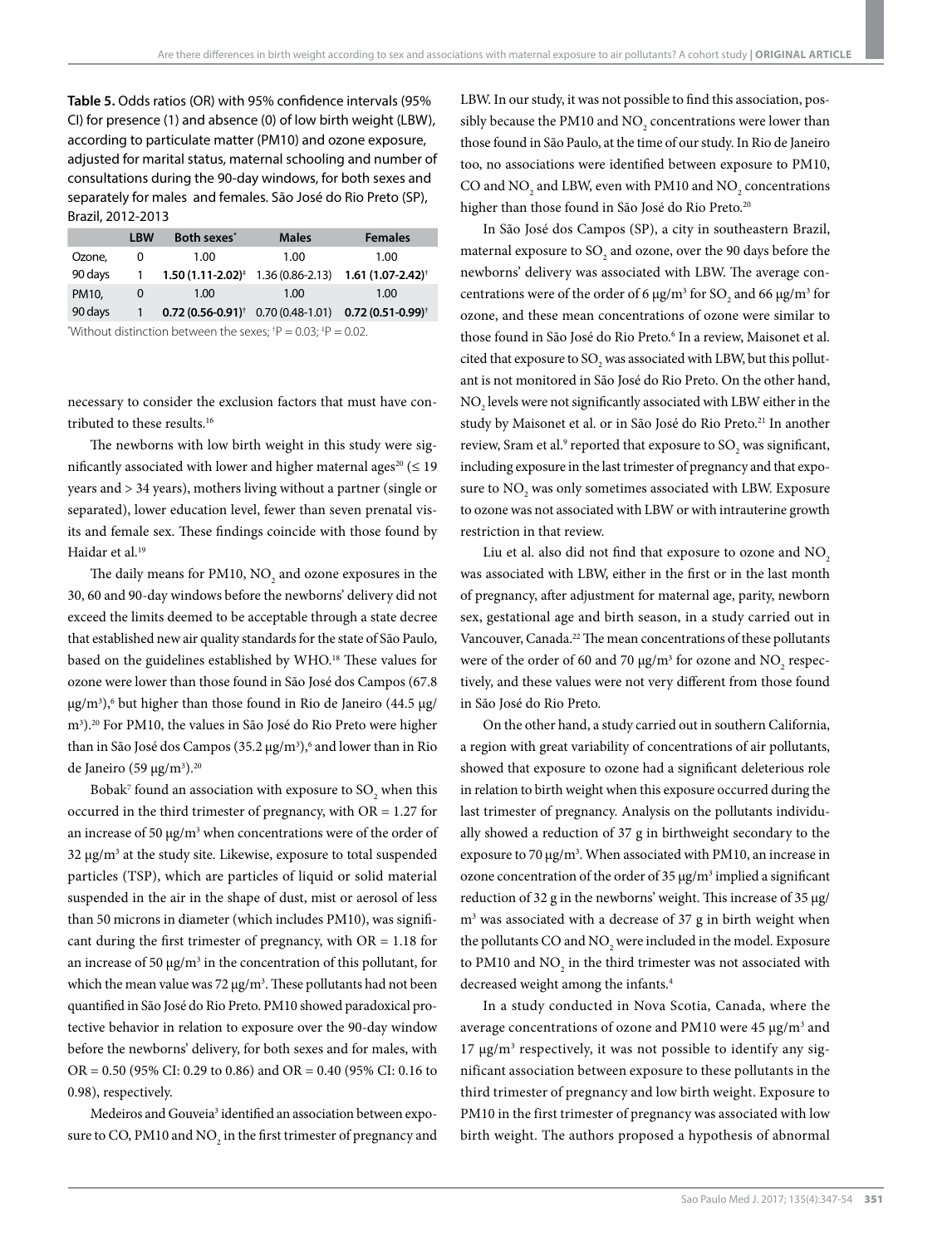**Table 5.** Odds ratios (OR) with 95% confidence intervals (95% CI) for presence (1) and absence (0) of low birth weight (LBW), according to particulate matter (PM10) and ozone exposure, adjusted for marital status, maternal schooling and number of consultations during the 90-day windows, for both sexes and separately for males and females. São José do Rio Preto (SP), Brazil, 2012-2013

|         | <b>LBW</b> | Both sexes <sup>*</sup>                       | <b>Males</b> | <b>Females</b>              |
|---------|------------|-----------------------------------------------|--------------|-----------------------------|
| Ozone,  | 0          | 1.00                                          | 1.00         | 1.00                        |
| 90 days |            | $1.50(1.11-2.02)^{\ddagger}$ 1.36 (0.86-2.13) |              | $1.61(1.07 - 2.42)^+$       |
| PM10,   | 0          | 1.00                                          | 1.00         | 1.00                        |
| 90 days |            | $0.72(0.56-0.91)^+$ 0.70 (0.48-1.01)          |              | $0.72(0.51-0.99)^{\dagger}$ |
|         |            |                                               |              |                             |

"Without distinction between the sexes;  $P = 0.03$ ;  $P = 0.02$ .

necessary to consider the exclusion factors that must have contributed to these results.16

The newborns with low birth weight in this study were significantly associated with lower and higher maternal ages<sup>20</sup> ( $\leq$  19 years and > 34 years), mothers living without a partner (single or separated), lower education level, fewer than seven prenatal visits and female sex. These findings coincide with those found by Haidar et al.<sup>19</sup>

The daily means for PM10,  $\rm NO_2$  and ozone exposures in the 30, 60 and 90-day windows before the newborns' delivery did not exceed the limits deemed to be acceptable through a state decree that established new air quality standards for the state of São Paulo, based on the guidelines established by WHO.<sup>18</sup> These values for ozone were lower than those found in São José dos Campos (67.8 μg/m<sup>3</sup>),<sup>6</sup> but higher than those found in Rio de Janeiro (44.5 μg/ m3 ).20 For PM10, the values in São José do Rio Preto were higher than in São José dos Campos (35.2 μg/m<sup>3</sup>),<sup>6</sup> and lower than in Rio de Janeiro (59 μg/m<sup>3</sup>).<sup>20</sup>

Bobak<sup>7</sup> found an association with exposure to  $\mathrm{SO}_2$  when this occurred in the third trimester of pregnancy, with OR = 1.27 for an increase of 50 μg/m<sup>3</sup> when concentrations were of the order of 32 μg/m3 at the study site. Likewise, exposure to total suspended particles (TSP), which are particles of liquid or solid material suspended in the air in the shape of dust, mist or aerosol of less than 50 microns in diameter (which includes PM10), was significant during the first trimester of pregnancy, with  $OR = 1.18$  for an increase of 50  $\mu$ g/m<sup>3</sup> in the concentration of this pollutant, for which the mean value was 72  $\mu$ g/m<sup>3</sup>. These pollutants had not been quantified in São José do Rio Preto. PM10 showed paradoxical protective behavior in relation to exposure over the 90-day window before the newborns' delivery, for both sexes and for males, with OR = 0.50 (95% CI: 0.29 to 0.86) and OR = 0.40 (95% CI: 0.16 to 0.98), respectively.

Medeiros and Gouveia<sup>3</sup> identified an association between exposure to CO, PM10 and  $\mathrm{NO}_2$  in the first trimester of pregnancy and LBW. In our study, it was not possible to find this association, possibly because the PM10 and NO<sub>2</sub> concentrations were lower than those found in São Paulo, at the time of our study. In Rio de Janeiro too, no associations were identified between exposure to PM10, CO and  $NO_2$  and LBW, even with PM10 and  $NO_2$  concentrations higher than those found in São José do Rio Preto.<sup>20</sup>

In São José dos Campos (SP), a city in southeastern Brazil, maternal exposure to  $\mathrm{SO}_2$  and ozone, over the 90 days before the newborns' delivery was associated with LBW. The average concentrations were of the order of 6  $\mu$ g/m<sup>3</sup> for SO<sub>2</sub> and 66  $\mu$ g/m<sup>3</sup> for ozone, and these mean concentrations of ozone were similar to those found in São José do Rio Preto.<sup>6</sup> In a review, Maisonet et al. cited that exposure to SO<sub>2</sub> was associated with LBW, but this pollutant is not monitored in São José do Rio Preto. On the other hand,  $\rm NO_{2}$  levels were not significantly associated with LBW either in the study by Maisonet et al. or in São José do Rio Preto.<sup>21</sup> In another review, Sram et al.<sup>9</sup> reported that exposure to  $\text{SO}_2$  was significant, including exposure in the last trimester of pregnancy and that exposure to  $\mathrm{NO}_2$  was only sometimes associated with LBW. Exposure to ozone was not associated with LBW or with intrauterine growth restriction in that review.

Liu et al. also did not find that exposure to ozone and  $NO<sub>2</sub>$ was associated with LBW, either in the first or in the last month of pregnancy, after adjustment for maternal age, parity, newborn sex, gestational age and birth season, in a study carried out in Vancouver, Canada.<sup>22</sup> The mean concentrations of these pollutants were of the order of 60 and 70  $\mu$ g/m<sup>3</sup> for ozone and NO<sub>2</sub> respectively, and these values were not very different from those found in São José do Rio Preto.

On the other hand, a study carried out in southern California, a region with great variability of concentrations of air pollutants, showed that exposure to ozone had a significant deleterious role in relation to birth weight when this exposure occurred during the last trimester of pregnancy. Analysis on the pollutants individually showed a reduction of 37 g in birthweight secondary to the exposure to 70  $\mu$ g/m<sup>3</sup>. When associated with PM10, an increase in ozone concentration of the order of 35  $\mu$ g/m<sup>3</sup> implied a significant reduction of 32 g in the newborns' weight. This increase of 35 μg/ m3 was associated with a decrease of 37 g in birth weight when the pollutants CO and  ${\rm NO}_2$  were included in the model. Exposure to PM10 and  $\mathrm{NO}_2$  in the third trimester was not associated with decreased weight among the infants.<sup>4</sup>

In a study conducted in Nova Scotia, Canada, where the average concentrations of ozone and PM10 were 45 μg/m<sup>3</sup> and 17 μg/m<sup>3</sup> respectively, it was not possible to identify any significant association between exposure to these pollutants in the third trimester of pregnancy and low birth weight. Exposure to PM10 in the first trimester of pregnancy was associated with low birth weight. The authors proposed a hypothesis of abnormal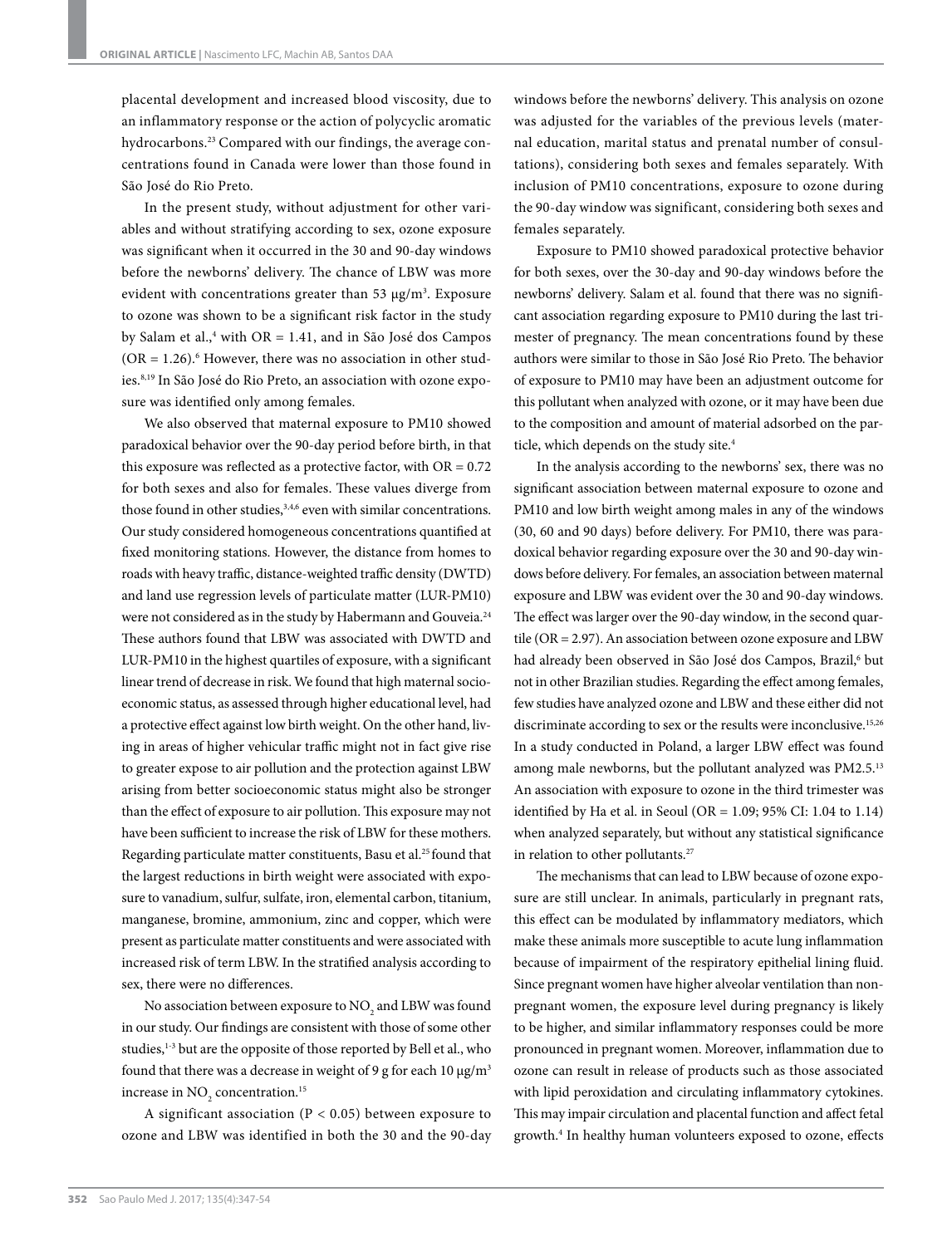placental development and increased blood viscosity, due to an inflammatory response or the action of polycyclic aromatic hydrocarbons.23 Compared with our findings, the average concentrations found in Canada were lower than those found in São José do Rio Preto.

In the present study, without adjustment for other variables and without stratifying according to sex, ozone exposure was significant when it occurred in the 30 and 90-day windows before the newborns' delivery. The chance of LBW was more evident with concentrations greater than 53  $\mu$ g/m<sup>3</sup>. Exposure to ozone was shown to be a significant risk factor in the study by Salam et al.,4 with OR = 1.41, and in São José dos Campos  $(OR = 1.26)$ .<sup>6</sup> However, there was no association in other studies.8,19 In São José do Rio Preto, an association with ozone exposure was identified only among females.

We also observed that maternal exposure to PM10 showed paradoxical behavior over the 90-day period before birth, in that this exposure was reflected as a protective factor, with  $OR = 0.72$ for both sexes and also for females. These values diverge from those found in other studies,<sup>3,4,6</sup> even with similar concentrations. Our study considered homogeneous concentrations quantified at fixed monitoring stations. However, the distance from homes to roads with heavy traffic, distance-weighted traffic density (DWTD) and land use regression levels of particulate matter (LUR-PM10) were not considered as in the study by Habermann and Gouveia.<sup>24</sup> These authors found that LBW was associated with DWTD and LUR-PM10 in the highest quartiles of exposure, with a significant linear trend of decrease in risk. We found that high maternal socioeconomic status, as assessed through higher educational level, had a protective effect against low birth weight. On the other hand, living in areas of higher vehicular traffic might not in fact give rise to greater expose to air pollution and the protection against LBW arising from better socioeconomic status might also be stronger than the effect of exposure to air pollution. This exposure may not have been sufficient to increase the risk of LBW for these mothers. Regarding particulate matter constituents, Basu et al.25 found that the largest reductions in birth weight were associated with exposure to vanadium, sulfur, sulfate, iron, elemental carbon, titanium, manganese, bromine, ammonium, zinc and copper, which were present as particulate matter constituents and were associated with increased risk of term LBW. In the stratified analysis according to sex, there were no differences.

No association between exposure to  $\mathrm{NO}_2$  and LBW was found in our study. Our findings are consistent with those of some other studies,<sup>1-3</sup> but are the opposite of those reported by Bell et al., who found that there was a decrease in weight of 9 g for each 10  $\mu$ g/m<sup>3</sup> increase in  $NO_2$  concentration.<sup>15</sup>

A significant association ( $P < 0.05$ ) between exposure to ozone and LBW was identified in both the 30 and the 90-day windows before the newborns' delivery. This analysis on ozone was adjusted for the variables of the previous levels (maternal education, marital status and prenatal number of consultations), considering both sexes and females separately. With inclusion of PM10 concentrations, exposure to ozone during the 90-day window was significant, considering both sexes and females separately.

Exposure to PM10 showed paradoxical protective behavior for both sexes, over the 30-day and 90-day windows before the newborns' delivery. Salam et al. found that there was no significant association regarding exposure to PM10 during the last trimester of pregnancy. The mean concentrations found by these authors were similar to those in São José Rio Preto. The behavior of exposure to PM10 may have been an adjustment outcome for this pollutant when analyzed with ozone, or it may have been due to the composition and amount of material adsorbed on the particle, which depends on the study site.<sup>4</sup>

In the analysis according to the newborns' sex, there was no significant association between maternal exposure to ozone and PM10 and low birth weight among males in any of the windows (30, 60 and 90 days) before delivery. For PM10, there was paradoxical behavior regarding exposure over the 30 and 90-day windows before delivery. For females, an association between maternal exposure and LBW was evident over the 30 and 90-day windows. The effect was larger over the 90-day window, in the second quartile (OR = 2.97). An association between ozone exposure and LBW had already been observed in São José dos Campos, Brazil,<sup>6</sup> but not in other Brazilian studies. Regarding the effect among females, few studies have analyzed ozone and LBW and these either did not discriminate according to sex or the results were inconclusive.15,26 In a study conducted in Poland, a larger LBW effect was found among male newborns, but the pollutant analyzed was PM2.5.13 An association with exposure to ozone in the third trimester was identified by Ha et al. in Seoul (OR = 1.09; 95% CI: 1.04 to 1.14) when analyzed separately, but without any statistical significance in relation to other pollutants.<sup>27</sup>

The mechanisms that can lead to LBW because of ozone exposure are still unclear. In animals, particularly in pregnant rats, this effect can be modulated by inflammatory mediators, which make these animals more susceptible to acute lung inflammation because of impairment of the respiratory epithelial lining fluid. Since pregnant women have higher alveolar ventilation than nonpregnant women, the exposure level during pregnancy is likely to be higher, and similar inflammatory responses could be more pronounced in pregnant women. Moreover, inflammation due to ozone can result in release of products such as those associated with lipid peroxidation and circulating inflammatory cytokines. This may impair circulation and placental function and affect fetal growth.4 In healthy human volunteers exposed to ozone, effects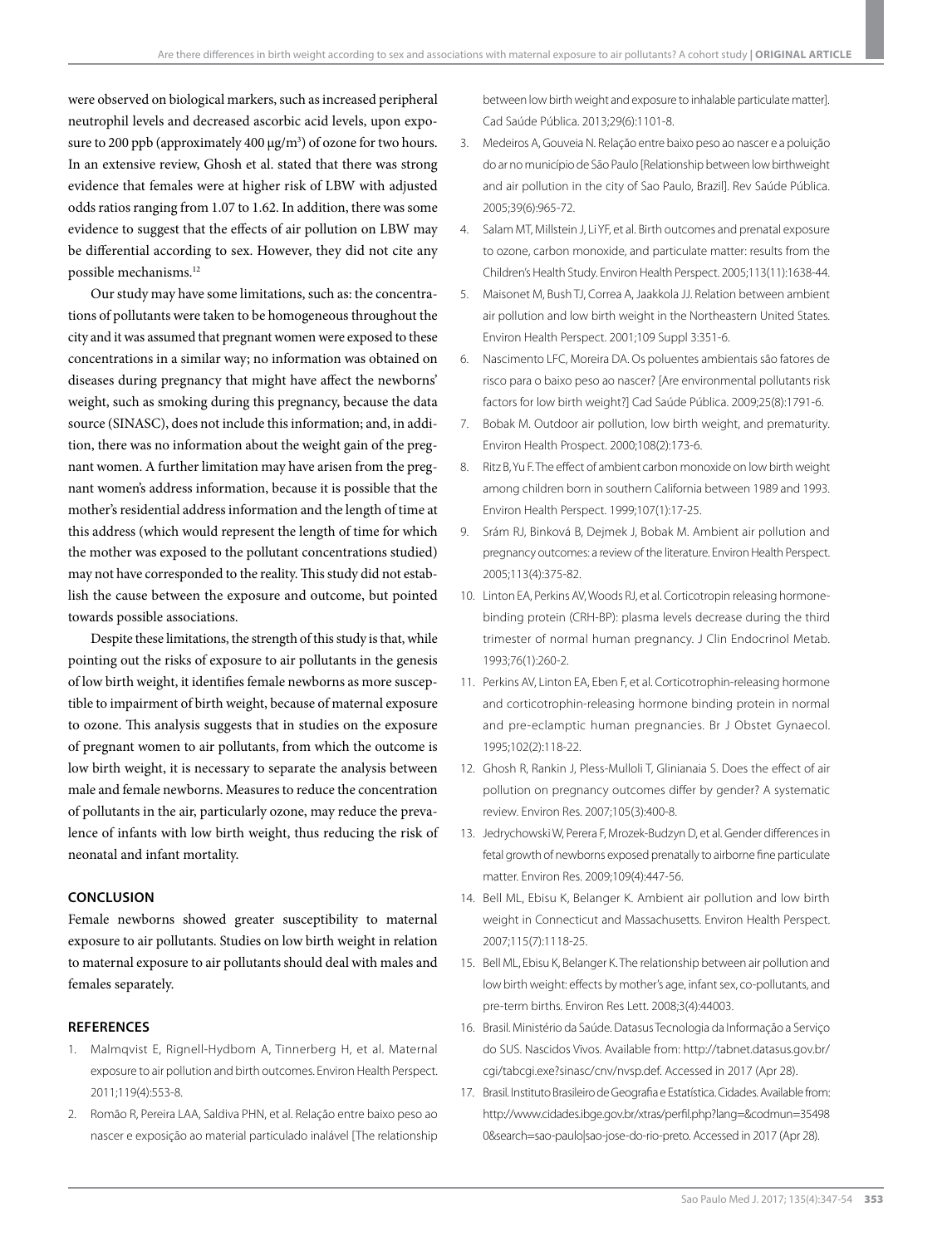were observed on biological markers, such as increased peripheral neutrophil levels and decreased ascorbic acid levels, upon exposure to 200 ppb (approximately  $400 \mu g/m^3$ ) of ozone for two hours. In an extensive review, Ghosh et al. stated that there was strong evidence that females were at higher risk of LBW with adjusted odds ratios ranging from 1.07 to 1.62. In addition, there was some evidence to suggest that the effects of air pollution on LBW may be differential according to sex. However, they did not cite any possible mechanisms.<sup>12</sup>

Our study may have some limitations, such as: the concentrations of pollutants were taken to be homogeneous throughout the city and it was assumed that pregnant women were exposed to these concentrations in a similar way; no information was obtained on diseases during pregnancy that might have affect the newborns' weight, such as smoking during this pregnancy, because the data source (SINASC), does not include this information; and, in addition, there was no information about the weight gain of the pregnant women. A further limitation may have arisen from the pregnant women's address information, because it is possible that the mother's residential address information and the length of time at this address (which would represent the length of time for which the mother was exposed to the pollutant concentrations studied) may not have corresponded to the reality. This study did not establish the cause between the exposure and outcome, but pointed towards possible associations.

Despite these limitations, the strength of this study is that, while pointing out the risks of exposure to air pollutants in the genesis of low birth weight, it identifies female newborns as more susceptible to impairment of birth weight, because of maternal exposure to ozone. This analysis suggests that in studies on the exposure of pregnant women to air pollutants, from which the outcome is low birth weight, it is necessary to separate the analysis between male and female newborns. Measures to reduce the concentration of pollutants in the air, particularly ozone, may reduce the prevalence of infants with low birth weight, thus reducing the risk of neonatal and infant mortality.

#### **CONCLUSION**

Female newborns showed greater susceptibility to maternal exposure to air pollutants. Studies on low birth weight in relation to maternal exposure to air pollutants should deal with males and females separately.

### **REFERENCES**

- 1. Malmqvist E, Rignell-Hydbom A, Tinnerberg H, et al. Maternal exposure to air pollution and birth outcomes. Environ Health Perspect. 2011;119(4):553-8.
- 2. Romão R, Pereira LAA, Saldiva PHN, et al. Relação entre baixo peso ao nascer e exposição ao material particulado inalável [The relationship

between low birth weight and exposure to inhalable particulate matter]. Cad Saúde Pública. 2013;29(6):1101-8.

- 3. Medeiros A, Gouveia N. Relação entre baixo peso ao nascer e a poluição do ar no município de São Paulo [Relationship between low birthweight and air pollution in the city of Sao Paulo, Brazil]. Rev Saúde Pública. 2005;39(6):965-72.
- 4. Salam MT, Millstein J, Li YF, et al. Birth outcomes and prenatal exposure to ozone, carbon monoxide, and particulate matter: results from the Children's Health Study. Environ Health Perspect. 2005;113(11):1638-44.
- 5. Maisonet M, Bush TJ, Correa A, Jaakkola JJ. Relation between ambient air pollution and low birth weight in the Northeastern United States. Environ Health Perspect. 2001;109 Suppl 3:351-6.
- 6. Nascimento LFC, Moreira DA. Os poluentes ambientais são fatores de risco para o baixo peso ao nascer? [Are environmental pollutants risk factors for low birth weight?] Cad Saúde Pública. 2009;25(8):1791-6.
- 7. Bobak M. Outdoor air pollution, low birth weight, and prematurity. Environ Health Prospect. 2000;108(2):173-6.
- 8. Ritz B, Yu F. The effect of ambient carbon monoxide on low birth weight among children born in southern California between 1989 and 1993. Environ Health Perspect. 1999;107(1):17-25.
- 9. Srám RJ, Binková B, Dejmek J, Bobak M. Ambient air pollution and pregnancy outcomes: a review of the literature. Environ Health Perspect. 2005;113(4):375-82.
- 10. Linton EA, Perkins AV, Woods RJ, et al. Corticotropin releasing hormonebinding protein (CRH-BP): plasma levels decrease during the third trimester of normal human pregnancy. J Clin Endocrinol Metab. 1993;76(1):260-2.
- 11. Perkins AV, Linton EA, Eben F, et al. Corticotrophin-releasing hormone and corticotrophin-releasing hormone binding protein in normal and pre-eclamptic human pregnancies. Br J Obstet Gynaecol. 1995;102(2):118-22.
- 12. Ghosh R, Rankin J, Pless-Mulloli T, Glinianaia S. Does the effect of air pollution on pregnancy outcomes differ by gender? A systematic review. Environ Res. 2007;105(3):400-8.
- 13. Jedrychowski W, Perera F, Mrozek-Budzyn D, et al. Gender differences in fetal growth of newborns exposed prenatally to airborne fine particulate matter. Environ Res. 2009;109(4):447-56.
- 14. Bell ML, Ebisu K, Belanger K. Ambient air pollution and low birth weight in Connecticut and Massachusetts. Environ Health Perspect. 2007;115(7):1118-25.
- 15. Bell ML, Ebisu K, Belanger K. The relationship between air pollution and low birth weight: effects by mother's age, infant sex, co-pollutants, and pre-term births. Environ Res Lett. 2008;3(4):44003.
- 16. Brasil. Ministério da Saúde. Datasus Tecnologia da Informação a Serviço do SUS. Nascidos Vivos. Available from: http://tabnet.datasus.gov.br/ cgi/tabcgi.exe?sinasc/cnv/nvsp.def. Accessed in 2017 (Apr 28).
- 17. Brasil. Instituto Brasileiro de Geografia e Estatística. Cidades. Available from: http://www.cidades.ibge.gov.br/xtras/perfil.php?lang=&codmun=35498 0&search=sao-paulo|sao-jose-do-rio-preto. Accessed in 2017 (Apr 28).